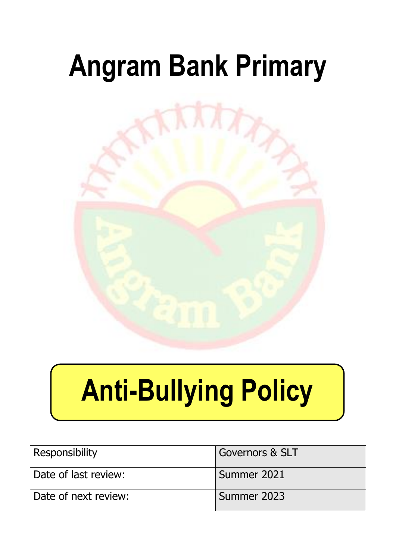## **Angram Bank Primary**



# **Anti-Bullying Policy**

| Responsibility       | <b>Governors &amp; SLT</b> |
|----------------------|----------------------------|
| Date of last review: | Summer 2021                |
| Date of next review: | Summer 2023                |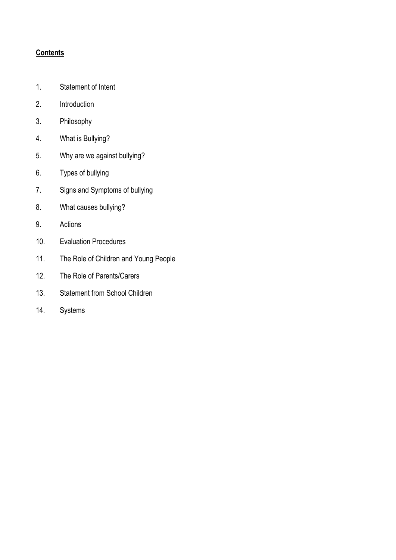#### **Contents**

- 1. Statement of Intent
- 2. Introduction
- 3. Philosophy
- 4. What is Bullying?
- 5. Why are we against bullying?
- 6. Types of bullying
- 7. Signs and Symptoms of bullying
- 8. What causes bullying?
- 9. Actions
- 10. Evaluation Procedures
- 11. The Role of Children and Young People
- 12. The Role of Parents/Carers
- 13. Statement from School Children
- 14. Systems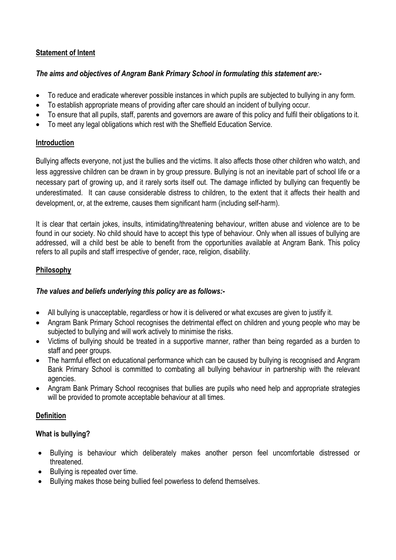#### **Statement of Intent**

#### *The aims and objectives of Angram Bank Primary School in formulating this statement are:-*

- To reduce and eradicate wherever possible instances in which pupils are subjected to bullying in any form.
- To establish appropriate means of providing after care should an incident of bullying occur.
- To ensure that all pupils, staff, parents and governors are aware of this policy and fulfil their obligations to it.
- To meet any legal obligations which rest with the Sheffield Education Service.

#### **Introduction**

Bullying affects everyone, not just the bullies and the victims. It also affects those other children who watch, and less aggressive children can be drawn in by group pressure. Bullying is not an inevitable part of school life or a necessary part of growing up, and it rarely sorts itself out. The damage inflicted by bullying can frequently be underestimated. It can cause considerable distress to children, to the extent that it affects their health and development, or, at the extreme, causes them significant harm (including self-harm).

It is clear that certain jokes, insults, intimidating/threatening behaviour, written abuse and violence are to be found in our society. No child should have to accept this type of behaviour. Only when all issues of bullying are addressed, will a child best be able to benefit from the opportunities available at Angram Bank. This policy refers to all pupils and staff irrespective of gender, race, religion, disability.

#### **Philosophy**

#### *The values and beliefs underlying this policy are as follows:-*

- All bullying is unacceptable, regardless or how it is delivered or what excuses are given to justify it.
- Angram Bank Primary School recognises the detrimental effect on children and young people who may be subjected to bullying and will work actively to minimise the risks.
- Victims of bullying should be treated in a supportive manner, rather than being regarded as a burden to staff and peer groups.
- The harmful effect on educational performance which can be caused by bullying is recognised and Angram Bank Primary School is committed to combating all bullying behaviour in partnership with the relevant agencies.
- Angram Bank Primary School recognises that bullies are pupils who need help and appropriate strategies will be provided to promote acceptable behaviour at all times.

#### **Definition**

#### **What is bullying?**

- Bullying is behaviour which deliberately makes another person feel uncomfortable distressed or threatened.
- Bullying is repeated over time.
- Bullying makes those being bullied feel powerless to defend themselves.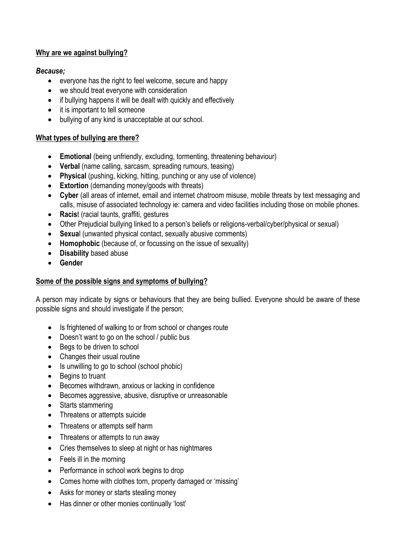#### **Why are we against bullying?**

#### *Because;*

- everyone has the right to feel welcome, secure and happy
- we should treat everyone with consideration
- if bullying happens it will be dealt with quickly and effectively
- it is important to tell someone
- bullying of any kind is unacceptable at our school.

#### **What types of bullying are there?**

- **Emotional** (being unfriendly, excluding, tormenting, threatening behaviour)
- **Verbal** (name calling, sarcasm, spreading rumours, teasing)
- **Physical** (pushing, kicking, hitting, punching or any use of violence)
- **Extortion** (demanding money/goods with threats)
- **Cyber** (all areas of internet, email and internet chatroom misuse, mobile threats by text messaging and calls, misuse of associated technology ie: camera and video facilities including those on mobile phones.
- **Racis**t (racial taunts, graffiti, gestures
- Other Prejudicial bullying linked to a person's beliefs or religions-verbal/cyber/physical or sexual)
- **Sexua**l (unwanted physical contact, sexually abusive comments)
- **Homophobic** (because of, or focussing on the issue of sexuality)
- **Disability** based abuse
- **Gender**

#### **Some of the possible signs and symptoms of bullying?**

A person may indicate by signs or behaviours that they are being bullied. Everyone should be aware of these possible signs and should investigate if the person;

- Is frightened of walking to or from school or changes route
- Doesn't want to go on the school / public bus
- Begs to be driven to school
- Changes their usual routine
- Is unwilling to go to school (school phobic)
- Begins to truant
- Becomes withdrawn, anxious or lacking in confidence
- Becomes aggressive, abusive, disruptive or unreasonable
- Starts stammering
- Threatens or attempts suicide
- Threatens or attempts self harm
- Threatens or attempts to run away
- Cries themselves to sleep at night or has nightmares
- Feels ill in the morning
- Performance in school work begins to drop
- Comes home with clothes torn, property damaged or 'missing'
- Asks for money or starts stealing money
- Has dinner or other monies continually 'lost'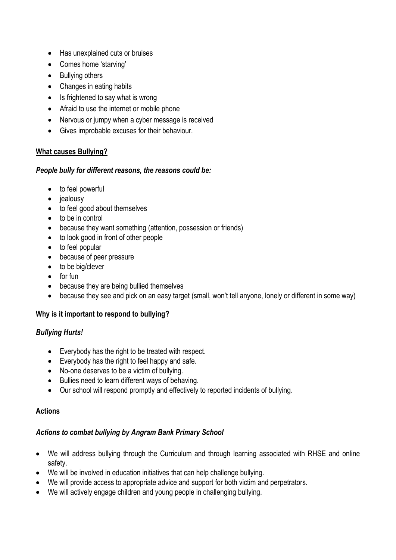- Has unexplained cuts or bruises
- Comes home 'starving'
- Bullying others
- Changes in eating habits
- $\bullet$  Is frightened to say what is wrong
- Afraid to use the internet or mobile phone
- Nervous or jumpy when a cyber message is received
- Gives improbable excuses for their behaviour.

#### **What causes Bullying?**

#### *People bully for different reasons, the reasons could be:*

- to feel powerful
- jealousy
- to feel good about themselves
- to be in control
- because they want something (attention, possession or friends)
- to look good in front of other people
- to feel popular
- because of peer pressure
- to be big/clever
- $\bullet$  for fun
- because they are being bullied themselves
- because they see and pick on an easy target (small, won't tell anyone, lonely or different in some way)

#### **Why is it important to respond to bullying?**

#### *Bullying Hurts!*

- Everybody has the right to be treated with respect.
- Everybody has the right to feel happy and safe.
- No-one deserves to be a victim of bullying.
- Bullies need to learn different ways of behaving.
- Our school will respond promptly and effectively to reported incidents of bullying.

#### **Actions**

#### *Actions to combat bullying by Angram Bank Primary School*

- We will address bullying through the Curriculum and through learning associated with RHSE and online safety.
- We will be involved in education initiatives that can help challenge bullying.
- We will provide access to appropriate advice and support for both victim and perpetrators.
- We will actively engage children and young people in challenging bullying.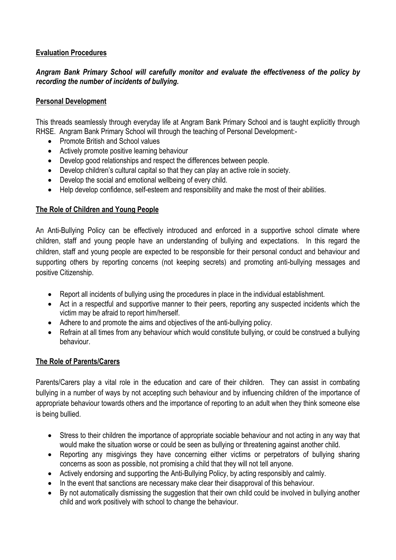#### **Evaluation Procedures**

#### *Angram Bank Primary School will carefully monitor and evaluate the effectiveness of the policy by recording the number of incidents of bullying.*

#### **Personal Development**

This threads seamlessly through everyday life at Angram Bank Primary School and is taught explicitly through RHSE. Angram Bank Primary School will through the teaching of Personal Development:-

- Promote British and School values
- Actively promote positive learning behaviour
- Develop good relationships and respect the differences between people.
- Develop children's cultural capital so that they can play an active role in society.
- Develop the social and emotional wellbeing of every child.
- Help develop confidence, self-esteem and responsibility and make the most of their abilities.

#### **The Role of Children and Young People**

An Anti-Bullying Policy can be effectively introduced and enforced in a supportive school climate where children, staff and young people have an understanding of bullying and expectations. In this regard the children, staff and young people are expected to be responsible for their personal conduct and behaviour and supporting others by reporting concerns (not keeping secrets) and promoting anti-bullying messages and positive Citizenship.

- Report all incidents of bullying using the procedures in place in the individual establishment.
- Act in a respectful and supportive manner to their peers, reporting any suspected incidents which the victim may be afraid to report him/herself.
- Adhere to and promote the aims and objectives of the anti-bullying policy.
- Refrain at all times from any behaviour which would constitute bullying, or could be construed a bullying behaviour.

#### **The Role of Parents/Carers**

Parents/Carers play a vital role in the education and care of their children. They can assist in combating bullying in a number of ways by not accepting such behaviour and by influencing children of the importance of appropriate behaviour towards others and the importance of reporting to an adult when they think someone else is being bullied.

- Stress to their children the importance of appropriate sociable behaviour and not acting in any way that would make the situation worse or could be seen as bullying or threatening against another child.
- Reporting any misgivings they have concerning either victims or perpetrators of bullying sharing concerns as soon as possible, not promising a child that they will not tell anyone.
- Actively endorsing and supporting the Anti-Bullying Policy, by acting responsibly and calmly.
- In the event that sanctions are necessary make clear their disapproval of this behaviour.
- By not automatically dismissing the suggestion that their own child could be involved in bullying another child and work positively with school to change the behaviour.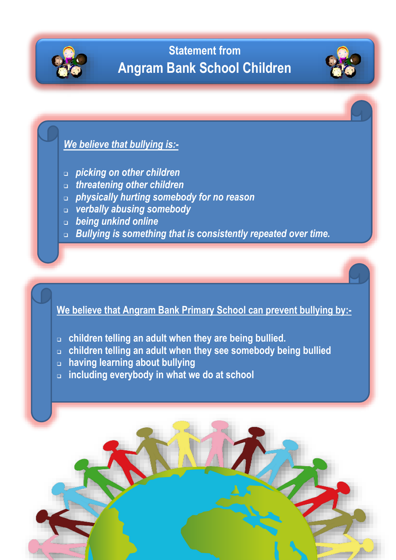

### **Statement from Angram Bank School Children**



- *picking on other children*
- *threatening other children*
- *physically hurting somebody for no reason*
- *verbally abusing somebody*
- *being unkind online*
- *Bullying is something that is consistently repeated over time.*

**We believe that Angram Bank Primary School can prevent bullying by:-**

- **children telling an adult when they are being bullied.**
- **children telling an adult when they see somebody being bullied**
- **having learning about bullying**
- **including everybody in what we do at school**

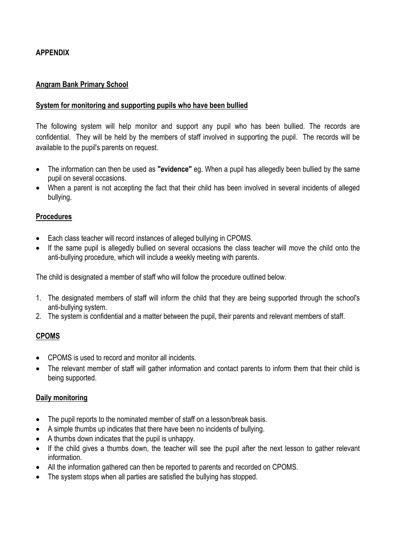#### **APPENDIX**

#### **Angram Bank Primary School**

#### **System for monitoring and supporting pupils who have been bullied**

The following system will help monitor and support any pupil who has been bullied. The records are confidential. They will be held by the members of staff involved in supporting the pupil. The records will be available to the pupil's parents on request.

- The information can then be used as **"evidence"** eg. When a pupil has allegedly been bullied by the same pupil on several occasions.
- When a parent is not accepting the fact that their child has been involved in several incidents of alleged bullying.

#### **Procedures**

- Each class teacher will record instances of alleged bullying in CPOMS.
- If the same pupil is allegedly bullied on several occasions the class teacher will move the child onto the anti-bullying procedure, which will include a weekly meeting with parents.

The child is designated a member of staff who will follow the procedure outlined below.

- 1. The designated members of staff will inform the child that they are being supported through the school's anti-bullying system.
- 2. The system is confidential and a matter between the pupil, their parents and relevant members of staff.

#### **CPOMS**

- CPOMS is used to record and monitor all incidents.
- The relevant member of staff will gather information and contact parents to inform them that their child is being supported.

#### **Daily monitoring**

- The pupil reports to the nominated member of staff on a lesson/break basis.
- A simple thumbs up indicates that there have been no incidents of bullying.
- A thumbs down indicates that the pupil is unhappy.
- If the child gives a thumbs down, the teacher will see the pupil after the next lesson to gather relevant information.
- All the information gathered can then be reported to parents and recorded on CPOMS.
- The system stops when all parties are satisfied the bullying has stopped.